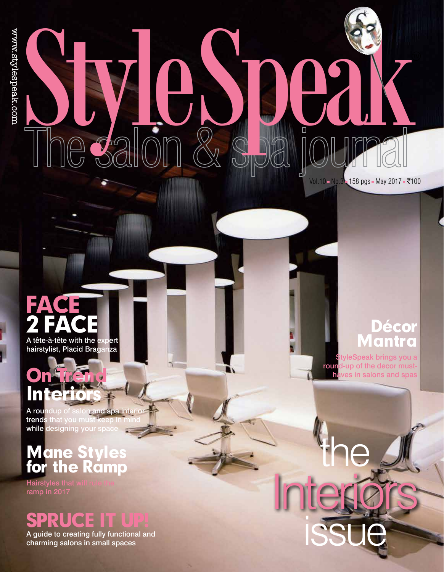# Style Speak

Vol.10 No.3 158 pgs = May 2017 = ₹100

# Face 2 face A tête-à-tête with the expert

hairstylist, Placid Braganza

# On Trend **Interiors**

**A roun**dup of salon and spa interior **trends** that you must keep in mind while designing your spac

# Mane Styles for the Ramp

Hairstyles that will rule the ramp in 2017

# Spruce it Up!

A guide to creating fully functional and charming salons in small spaces

## Décor Mantra

StyleSpeak brings you a round-up of the decor musthaves in salons and spas

Interiors

the

issue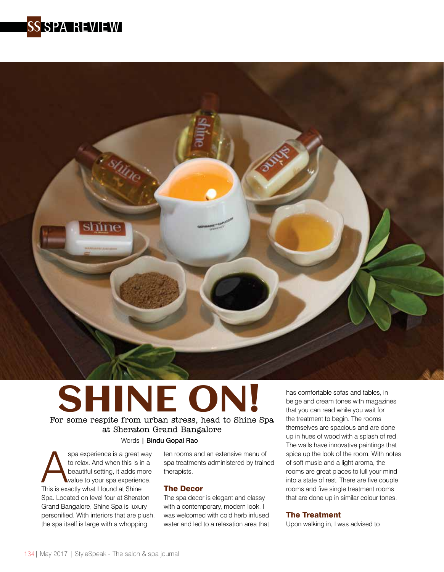



### SHINE ON! For some respite from urban stress, head to Shine Spa at Sheraton Grand Bangalore Words | Bindu Gopal Rao

spa experience is a great way<br>to relax. And when this is in a<br>beautiful setting, it adds more<br>value to your spa experience.<br>This is exactly what I found at Shine to relax. And when this is in a beautiful setting, it adds more value to your spa experience. Spa. Located on level four at Sheraton Grand Bangalore, Shine Spa is luxury personified. With interiors that are plush, the spa itself is large with a whopping

ten rooms and an extensive menu of spa treatments administered by trained therapists.

### The Decor

The spa decor is elegant and classy with a contemporary, modern look. I was welcomed with cold herb infused water and led to a relaxation area that

has comfortable sofas and tables, in beige and cream tones with magazines that you can read while you wait for the treatment to begin. The rooms themselves are spacious and are done up in hues of wood with a splash of red. The walls have innovative paintings that spice up the look of the room. With notes of soft music and a light aroma, the rooms are great places to lull your mind into a state of rest. There are five couple rooms and five single treatment rooms that are done up in similar colour tones.

### The Treatment

Upon walking in, I was advised to